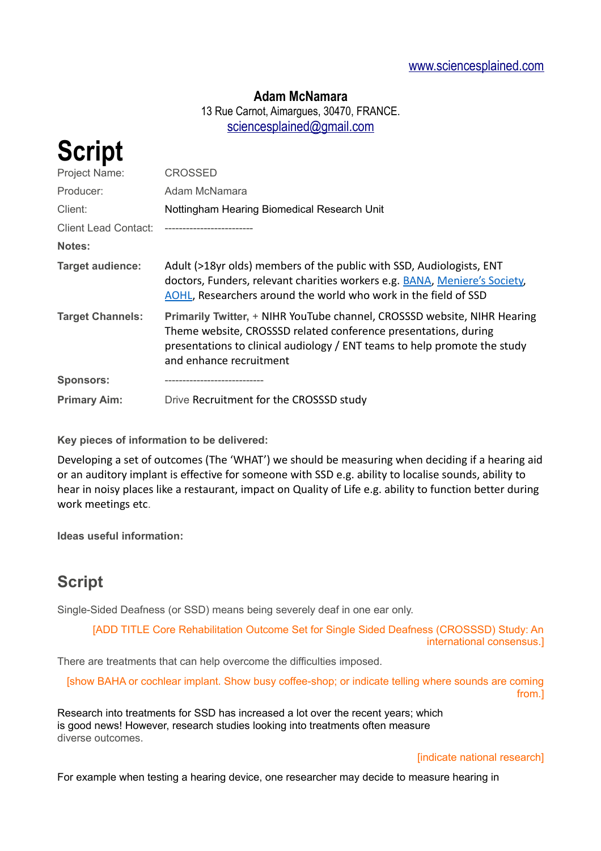### **Adam McNamara**

13 Rue Carnot, Aimargues, 30470, FRANCE. [sciencesplained@gmail.com](mailto:sciencesplained@gmail.com)

| <b>Script</b>           |                                                                                                                                                                                                                                                     |
|-------------------------|-----------------------------------------------------------------------------------------------------------------------------------------------------------------------------------------------------------------------------------------------------|
| Project Name:           | CROSSED                                                                                                                                                                                                                                             |
| Producer:               | Adam McNamara                                                                                                                                                                                                                                       |
| Client:                 | Nottingham Hearing Biomedical Research Unit                                                                                                                                                                                                         |
| Client Lead Contact:    |                                                                                                                                                                                                                                                     |
| <b>Notes:</b>           |                                                                                                                                                                                                                                                     |
| <b>Target audience:</b> | Adult (>18yr olds) members of the public with SSD, Audiologists, ENT<br>doctors, Funders, relevant charities workers e.g. BANA, Meniere's Society,<br>AOHL, Researchers around the world who work in the field of SSD                               |
| <b>Target Channels:</b> | Primarily Twitter, + NIHR YouTube channel, CROSSSD website, NIHR Hearing<br>Theme website, CROSSSD related conference presentations, during<br>presentations to clinical audiology / ENT teams to help promote the study<br>and enhance recruitment |
| <b>Sponsors:</b>        |                                                                                                                                                                                                                                                     |
| <b>Primary Aim:</b>     | Drive Recruitment for the CROSSSD study                                                                                                                                                                                                             |

**Key pieces of information to be delivered:**

Developing a set of outcomes (The 'WHAT') we should be measuring when deciding if a hearing aid or an auditory implant is effective for someone with SSD e.g. ability to localise sounds, ability to hear in noisy places like a restaurant, impact on Quality of Life e.g. ability to function better during work meetings etc.

**Ideas useful information:**

# **Script**

Single-Sided Deafness (or SSD) means being severely deaf in one ear only.

[ADD TITLE Core Rehabilitation Outcome Set for Single Sided Deafness (CROSSSD) Study: An international consensus.]

There are treatments that can help overcome the difficulties imposed.

[show BAHA or cochlear implant. Show busy coffee-shop; or indicate telling where sounds are coming from.]

Research into treatments for SSD has increased a lot over the recent years; which is good news! However, research studies looking into treatments often measure diverse outcomes.

#### [indicate national research]

For example when testing a hearing device, one researcher may decide to measure hearing in